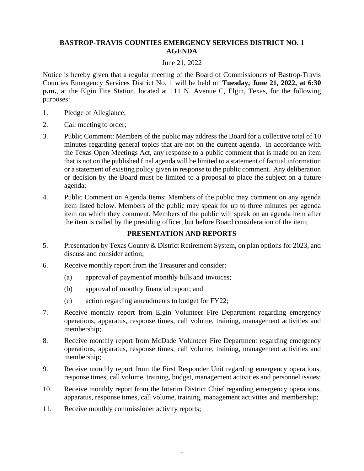## **BASTROP-TRAVIS COUNTIES EMERGENCY SERVICES DISTRICT NO. 1 AGENDA**

## June 21, 2022

Notice is hereby given that a regular meeting of the Board of Commissioners of Bastrop-Travis Counties Emergency Services District No. 1 will be held on **Tuesday, June 21, 2022, at 6:30 p.m.**, at the Elgin Fire Station, located at 111 N. Avenue C, Elgin, Texas, for the following purposes:

- 1. Pledge of Allegiance;
- 2. Call meeting to order;
- 3. Public Comment: Members of the public may address the Board for a collective total of 10 minutes regarding general topics that are not on the current agenda. In accordance with the Texas Open Meetings Act, any response to a public comment that is made on an item that is not on the published final agenda will be limited to a statement of factual information or a statement of existing policy given in response to the public comment. Any deliberation or decision by the Board must be limited to a proposal to place the subject on a future agenda;
- 4. Public Comment on Agenda Items: Members of the public may comment on any agenda item listed below. Members of the public may speak for up to three minutes per agenda item on which they comment. Members of the public will speak on an agenda item after the item is called by the presiding officer, but before Board consideration of the item;

## **PRESENTATION AND REPORTS**

- 5. Presentation by Texas County & District Retirement System, on plan options for 2023, and discuss and consider action;
- 6. Receive monthly report from the Treasurer and consider:
	- (a) approval of payment of monthly bills and invoices;
	- (b) approval of monthly financial report; and
	- (c) action regarding amendments to budget for FY22;
- 7. Receive monthly report from Elgin Volunteer Fire Department regarding emergency operations, apparatus, response times, call volume, training, management activities and membership;
- 8. Receive monthly report from McDade Volunteer Fire Department regarding emergency operations, apparatus, response times, call volume, training, management activities and membership;
- 9. Receive monthly report from the First Responder Unit regarding emergency operations, response times, call volume, training, budget, management activities and personnel issues;
- 10. Receive monthly report from the Interim District Chief regarding emergency operations, apparatus, response times, call volume, training, management activities and membership;
- 11. Receive monthly commissioner activity reports;